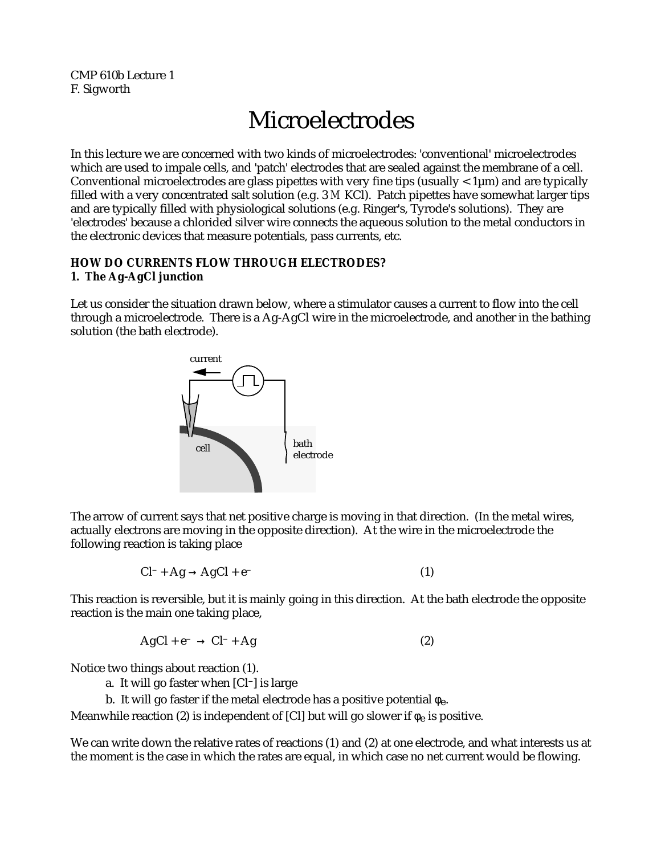CMP 610b Lecture 1 F. Sigworth

# Microelectrodes

In this lecture we are concerned with two kinds of microelectrodes: 'conventional' microelectrodes which are used to impale cells, and 'patch' electrodes that are sealed against the membrane of a cell. Conventional microelectrodes are glass pipettes with very fine tips (usually  $\langle 1 \mu m \rangle$  and are typically filled with a very concentrated salt solution (e.g. 3 *M* KCl). Patch pipettes have somewhat larger tips and are typically filled with physiological solutions (e.g. Ringer's, Tyrode's solutions). They are 'electrodes' because a chlorided silver wire connects the aqueous solution to the metal conductors in the electronic devices that measure potentials, pass currents, etc.

## **HOW DO CURRENTS FLOW THROUGH ELECTRODES? 1. The Ag-AgCl junction**

Let us consider the situation drawn below, where a stimulator causes a current to flow into the cell through a microelectrode. There is a Ag-AgCl wire in the microelectrode, and another in the bathing solution (the bath electrode).



The arrow of current says that net positive charge is moving in that direction. (In the metal wires, actually electrons are moving in the opposite direction). At the wire in the microelectrode the following reaction is taking place

$$
Cl^- + Ag \quad AgCl + e^-
$$
 (1)

This reaction is reversible, but it is mainly going in this direction. At the bath electrode the opposite reaction is the main one taking place,

$$
AgCl + e^- \qquad Cl^- + Ag \tag{2}
$$

Notice two things about reaction (1).

a. It will go faster when [Cl–] is large

b. It will go faster if the metal electrode has a positive potential  $_e$ .

Meanwhile reaction (2) is independent of [Cl] but will go slower if  $_{e}$  is positive.

We can write down the relative rates of reactions (1) and (2) at one electrode, and what interests us at the moment is the case in which the rates are equal, in which case no net current would be flowing.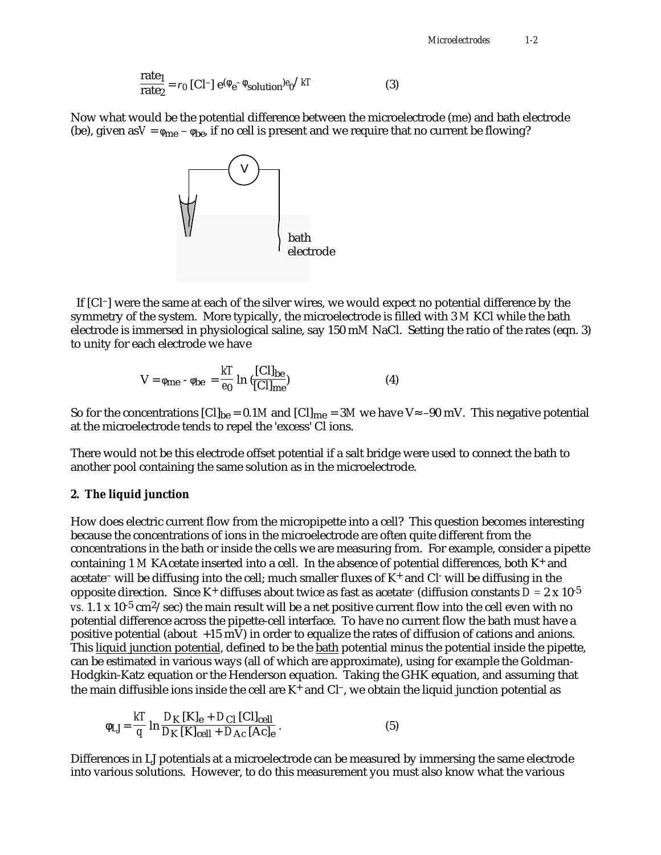$$
\frac{\text{rate}_1}{\text{rate}_2} = r_0 \text{ [Cl}^- \text{] } e^{\text{(}} \text{ } e^- \text{ solution}^{\text{)}} e_0^{\text{/} kT} \tag{3}
$$

Now what would be the potential difference between the microelectrode (me) and bath electrode (be), given as  $V = me - be$ , if no cell is present and we require that no current be flowing?



 If [Cl–] were the same at each of the silver wires, we would expect no potential difference by the symmetry of the system. More typically, the microelectrode is filled with 3 *M* KCl while the bath electrode is immersed in physiological saline, say 150 m*M* NaCl. Setting the ratio of the rates (eqn. 3) to unity for each electrode we have

$$
V = me - be = \frac{kT}{e_0} ln(\frac{[Cl]_{be}}{[Cl]_{me}})
$$
 (4)

So for the concentrations  $[C]_{be} = 0.1M$  and  $[C]_{me} = 3M$  we have V –90 mV. This negative potential at the microelectrode tends to repel the 'excess' Cl ions.

There would not be this electrode offset potential if a salt bridge were used to connect the bath to another pool containing the same solution as in the microelectrode.

#### **2. The liquid junction**

How does electric current flow from the micropipette into a cell? This question becomes interesting because the concentrations of ions in the microelectrode are often quite different from the concentrations in the bath or inside the cells we are measuring from. For example, consider a pipette containing 1 M KAcetate inserted into a cell. In the absence of potential differences, both K<sup>+</sup> and acetate<sup>-</sup> will be diffusing into the cell; much smaller fluxes of K<sup>+</sup> and Cl<sup>-</sup> will be diffusing in the opposite direction. Since K<sup>+</sup> diffuses about twice as fast as acetate<sup>-</sup> (diffusion constants  $D = 2 \times 10^{-5}$ *vs.* 1.1 x 10<sup>-5</sup> cm<sup>2</sup>/sec) the main result will be a net positive current flow into the cell even with no potential difference across the pipette-cell interface. To have no current flow the bath must have a positive potential (about +15 mV) in order to equalize the rates of diffusion of cations and anions. This liquid junction potential, defined to be the bath potential minus the potential inside the pipette, can be estimated in various ways (all of which are approximate), using for example the Goldman-Hodgkin-Katz equation or the Henderson equation. Taking the GHK equation, and assuming that the main diffusible ions inside the cell are  $K^+$  and  $Cl^-$ , we obtain the liquid junction potential as

$$
LI = \frac{kT}{q} \ln \frac{D_{K} [K]_{e} + D_{Cl} [Cl]_{cell}}{D_{K} [K]_{cell} + D_{Ac} [Ac]_{e}}.
$$
 (5)

Differences in LJ potentials at a microelectrode can be measured by immersing the same electrode into various solutions. However, to do this measurement you must also know what the various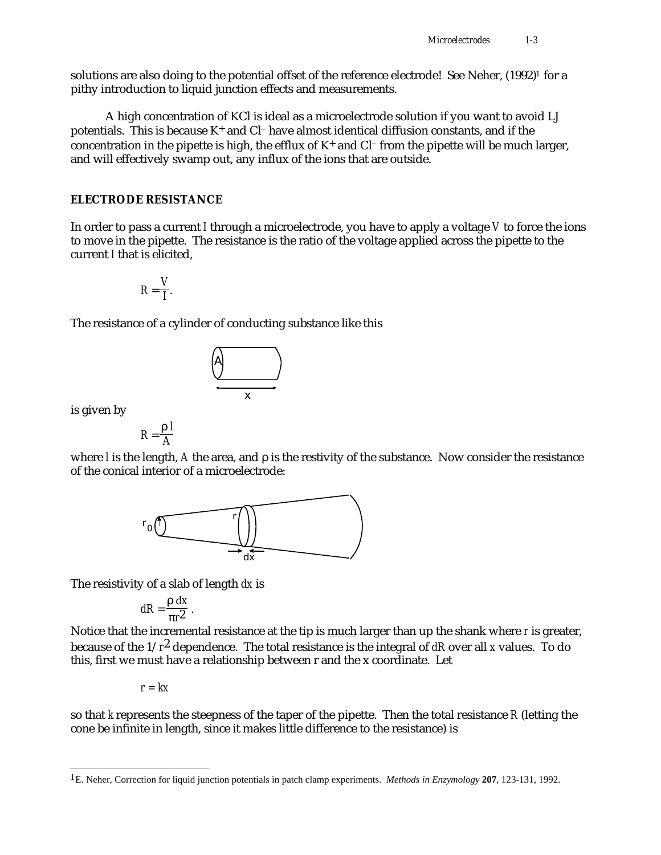solutions are also doing to the potential offset of the reference electrode! See Neher, (1992)<sup>1</sup> for a pithy introduction to liquid junction effects and measurements.

A high concentration of KCl is ideal as a microelectrode solution if you want to avoid LJ potentials. This is because  $K^+$  and  $Cl^-$  have almost identical diffusion constants, and if the concentration in the pipette is high, the efflux of  $K^+$  and  $Cl^-$  from the pipette will be much larger, and will effectively swamp out, any influx of the ions that are outside.

### **ELECTRODE RESISTANCE**

In order to pass a current *I* through a microelectrode, you have to apply a voltage *V* to force the ions to move in the pipette. The resistance is the ratio of the voltage applied across the pipette to the current *I* that is elicited,

$$
R=\frac{V}{I}.
$$

The resistance of a cylinder of conducting substance like this



is given by

 $R = \frac{1}{2}$  *l A*

where *l* is the length, *A* the area, and is the restivity of the substance. Now consider the resistance of the conical interior of a microelectrode:



The resistivity of a slab of length *dx* is

$$
dR = \frac{dx}{r^2}.
$$

Notice that the incremental resistance at the tip is much larger than up the shank where *r* is greater, because of the 1/*r*2 dependence. The total resistance is the integral of *dR* over all *x* values. To do this, first we must have a relationship between r and the x coordinate. Let

*r = kx*

so that *k* represents the steepness of the taper of the pipette. Then the total resistance *R* (letting the cone be infinite in length, since it makes little difference to the resistance) is

<sup>1</sup>E. Neher, Correction for liquid junction potentials in patch clamp experiments. *Methods in Enzymology* **207**, 123-131, 1992.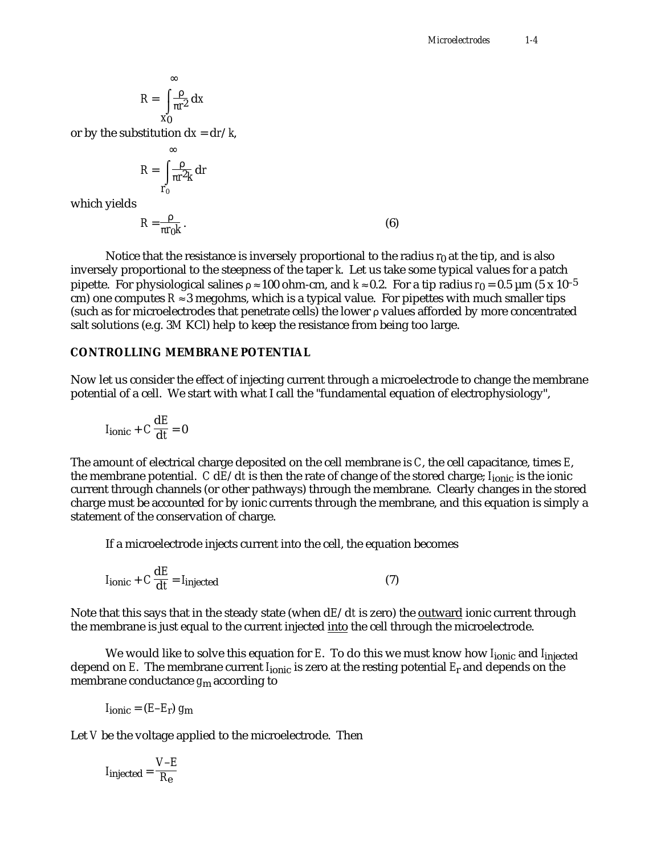$$
R = \frac{}{r^2} \, \mathrm{d}x
$$

or by the substitution  $dx = dr/k$ ,

$$
R = \frac{}{r^2k} \, dr
$$

which yields

$$
R = \frac{1}{r_0 k} \,. \tag{6}
$$

Notice that the resistance is inversely proportional to the radius  $r_0$  at the tip, and is also inversely proportional to the steepness of the taper *k*. Let us take some typical values for a patch pipette. For physiological salines 100 ohm-cm, and *k* 0.2. For a tip radius  $r_0 = 0.5 \mu m$  (5 x 10<sup>-5</sup>) cm) one computes  $R$  3 megohms, which is a typical value. For pipettes with much smaller tips (such as for microelectrodes that penetrate cells) the lower values afforded by more concentrated salt solutions (e.g. 3*M* KCl) help to keep the resistance from being too large.

## **CONTROLLING MEMBRANE POTENTIAL**

Now let us consider the effect of injecting current through a microelectrode to change the membrane potential of a cell. We start with what I call the "fundamental equation of electrophysiology",

$$
I_{\text{ionic}} + C \frac{\mathrm{d}E}{\mathrm{d}t} = 0
$$

The amount of electrical charge deposited on the cell membrane is *C*, the cell capacitance, times *E*, the membrane potential. *C* d*E*/d*t* is then the rate of change of the stored charge; *I*ionic is the ionic current through channels (or other pathways) through the membrane. Clearly changes in the stored charge must be accounted for by ionic currents through the membrane, and this equation is simply a statement of the conservation of charge.

If a microelectrode injects current into the cell, the equation becomes

$$
I_{\text{ionic}} + C \frac{\text{d}E}{\text{d}t} = I_{\text{injected}} \tag{7}
$$

Note that this says that in the steady state (when d*E*/d*t* is zero) the outward ionic current through the membrane is just equal to the current injected <u>into</u> the cell through the microelectrode.

We would like to solve this equation for *E*. To do this we must know how *I*<sub>ionic</sub> and *I*<sub>injected</sub> depend on *E*. The membrane current *I*ionic is zero at the resting potential *E*r and depends on the membrane conductance *g*m according to

$$
I_{\text{ionic}} = (E - E_{\text{r}}) g_{\text{m}}
$$

Let *V* be the voltage applied to the microelectrode. Then

$$
I_{\text{injected}} = \frac{V - E}{R_{\text{e}}}
$$